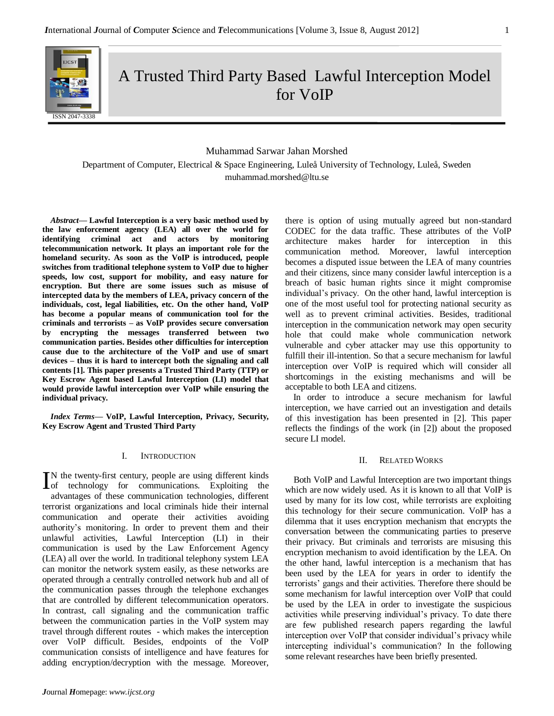

# A Trusted Third Party Based Lawful Interception Model for VoIP

# Muhammad Sarwar Jahan Morshed

Department of Computer, Electrical & Space Engineering, Luleå University of Technology, Luleå, Sweden muhammad.morshed@ltu.se

*Abstract***— Lawful Interception is a very basic method used by the law enforcement agency (LEA) all over the world for identifying criminal act and actors by monitoring telecommunication network. It plays an important role for the homeland security. As soon as the VoIP is introduced, people switches from traditional telephone system to VoIP due to higher speeds, low cost, support for mobility, and easy nature for encryption. But there are some issues such as misuse of intercepted data by the members of LEA, privacy concern of the individuals, cost, legal liabilities, etc. On the other hand, VoIP has become a popular means of communication tool for the criminals and terrorists – as VoIP provides secure conversation by encrypting the messages transferred between two communication parties. Besides other difficulties for interception cause due to the architecture of the VoIP and use of smart devices – thus it is hard to intercept both the signaling and call contents [1]. This paper presents a Trusted Third Party (TTP) or Key Escrow Agent based Lawful Interception (LI) model that would provide lawful interception over VoIP while ensuring the individual privacy.**

*Index Terms—* **VoIP, Lawful Interception, Privacy, Security, Key Escrow Agent and Trusted Third Party**

#### I. INTRODUCTION

N the twenty-first century, people are using different kinds IN the twenty-first century, people are using different kinds<br>of technology for communications. Exploiting the advantages of these communication technologies, different terrorist organizations and local criminals hide their internal communication and operate their activities avoiding authority's monitoring. In order to prevent them and their unlawful activities, Lawful Interception (LI) in their communication is used by the Law Enforcement Agency (LEA) all over the world. In traditional telephony system LEA can monitor the network system easily, as these networks are operated through a centrally controlled network hub and all of the communication passes through the telephone exchanges that are controlled by different telecommunication operators. In contrast, call signaling and the communication traffic between the communication parties in the VoIP system may travel through different routes - which makes the interception over VoIP difficult. Besides, endpoints of the VoIP communication consists of intelligence and have features for adding encryption/decryption with the message. Moreover,

there is option of using mutually agreed but non-standard CODEC for the data traffic. These attributes of the VoIP architecture makes harder for interception in this communication method. Moreover, lawful interception becomes a disputed issue between the LEA of many countries and their citizens, since many consider lawful interception is a breach of basic human rights since it might compromise individual's privacy. On the other hand, lawful interception is one of the most useful tool for protecting national security as well as to prevent criminal activities. Besides, traditional interception in the communication network may open security hole that could make whole communication network vulnerable and cyber attacker may use this opportunity to fulfill their ill-intention. So that a secure mechanism for lawful interception over VoIP is required which will consider all shortcomings in the existing mechanisms and will be acceptable to both LEA and citizens.

In order to introduce a secure mechanism for lawful interception, we have carried out an investigation and details of this investigation has been presented in [2]. This paper reflects the findings of the work (in [2]) about the proposed secure LI model.

#### II. RELATED WORKS

Both VoIP and Lawful Interception are two important things which are now widely used. As it is known to all that VoIP is used by many for its low cost, while terrorists are exploiting this technology for their secure communication. VoIP has a dilemma that it uses encryption mechanism that encrypts the conversation between the communicating parties to preserve their privacy. But criminals and terrorists are misusing this encryption mechanism to avoid identification by the LEA. On the other hand, lawful interception is a mechanism that has been used by the LEA for years in order to identify the terrorists' gangs and their activities. Therefore there should be some mechanism for lawful interception over VoIP that could be used by the LEA in order to investigate the suspicious activities while preserving individual's privacy. To date there are few published research papers regarding the lawful interception over VoIP that consider individual's privacy while intercepting individual's communication? In the following some relevant researches have been briefly presented.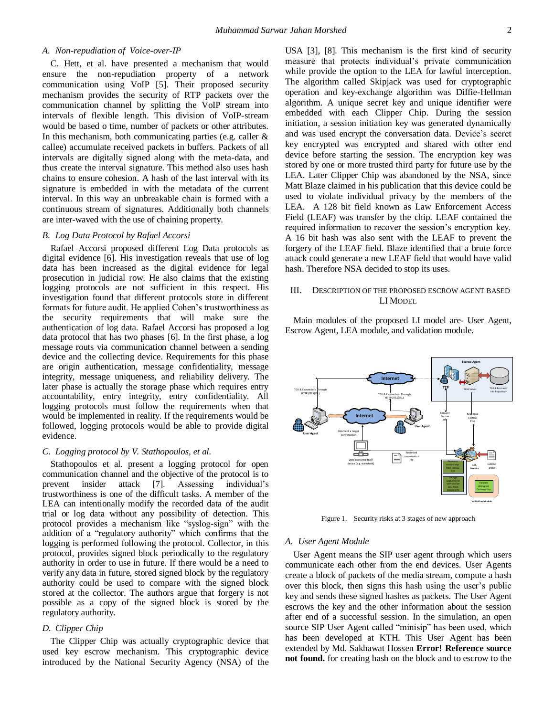## *A. Non-repudiation of Voice-over-IP*

C. Hett, et al. have presented a mechanism that would ensure the non-repudiation property of a network communication using VoIP [5]. Their proposed security mechanism provides the security of RTP packets over the communication channel by splitting the VoIP stream into intervals of flexible length. This division of VoIP-stream would be based o time, number of packets or other attributes. In this mechanism, both communicating parties (e.g. caller  $\&$ callee) accumulate received packets in buffers. Packets of all intervals are digitally signed along with the meta-data, and thus create the interval signature. This method also uses hash chains to ensure cohesion. A hash of the last interval with its signature is embedded in with the metadata of the current interval. In this way an unbreakable chain is formed with a continuous stream of signatures. Additionally both channels are inter-waved with the use of chaining property.

#### *B. Log Data Protocol by Rafael Accorsi*

Rafael Accorsi proposed different Log Data protocols as digital evidence [6]. His investigation reveals that use of log data has been increased as the digital evidence for legal prosecution in judicial row. He also claims that the existing logging protocols are not sufficient in this respect. His investigation found that different protocols store in different formats for future audit. He applied Cohen's trustworthiness as the security requirements that will make sure the authentication of log data. Rafael Accorsi has proposed a log data protocol that has two phases [6]. In the first phase, a log message routs via communication channel between a sending device and the collecting device. Requirements for this phase are origin authentication, message confidentiality, message integrity, message uniqueness, and reliability delivery. The later phase is actually the storage phase which requires entry accountability, entry integrity, entry confidentiality. All logging protocols must follow the requirements when that would be implemented in reality. If the requirements would be followed, logging protocols would be able to provide digital evidence.

## *C. Logging protocol by V. Stathopoulos, et al.*

Stathopoulos et al. present a logging protocol for open communication channel and the objective of the protocol is to prevent insider attack [7]. Assessing individual's trustworthiness is one of the difficult tasks. A member of the LEA can intentionally modify the recorded data of the audit trial or log data without any possibility of detection. This protocol provides a mechanism like "syslog-sign" with the addition of a "regulatory authority" which confirms that the logging is performed following the protocol. Collector, in this protocol, provides signed block periodically to the regulatory authority in order to use in future. If there would be a need to verify any data in future, stored signed block by the regulatory authority could be used to compare with the signed block stored at the collector. The authors argue that forgery is not possible as a copy of the signed block is stored by the regulatory authority.

## *D. Clipper Chip*

The Clipper Chip was actually cryptographic device that used key escrow mechanism. This cryptographic device introduced by the National Security Agency (NSA) of the

USA [3], [8]. This mechanism is the first kind of security measure that protects individual's private communication while provide the option to the LEA for lawful interception. The algorithm called Skipjack was used for cryptographic operation and key-exchange algorithm was Diffie-Hellman algorithm. A unique secret key and unique identifier were embedded with each Clipper Chip. During the session initiation, a session initiation key was generated dynamically and was used encrypt the conversation data. Device's secret key encrypted was encrypted and shared with other end device before starting the session. The encryption key was stored by one or more trusted third party for future use by the LEA. Later Clipper Chip was abandoned by the NSA, since Matt Blaze claimed in his publication that this device could be used to violate individual privacy by the members of the LEA. A 128 bit field known as Law Enforcement Access Field (LEAF) was transfer by the chip. LEAF contained the required information to recover the session's encryption key. A 16 bit hash was also sent with the LEAF to prevent the forgery of the LEAF field. Blaze identified that a brute force attack could generate a new LEAF field that would have valid hash. Therefore NSA decided to stop its uses.

# III. DESCRIPTION OF THE PROPOSED ESCROW AGENT BASED LI MODEL

Main modules of the proposed LI model are- User Agent, Escrow Agent, LEA module, and validation module.



Figure 1. Security risks at 3 stages of new approach

#### *A. User Agent Module*

User Agent means the SIP user agent through which users communicate each other from the end devices. User Agents create a block of packets of the media stream, compute a hash over this block, then signs this hash using the user's public key and sends these signed hashes as packets. The User Agent escrows the key and the other information about the session after end of a successful session. In the simulation, an open source SIP User Agent called "minisip" has been used, which has been developed at KTH. This User Agent has been extended by Md. Sakhawat Hossen **Error! Reference source not found.** for creating hash on the block and to escrow to the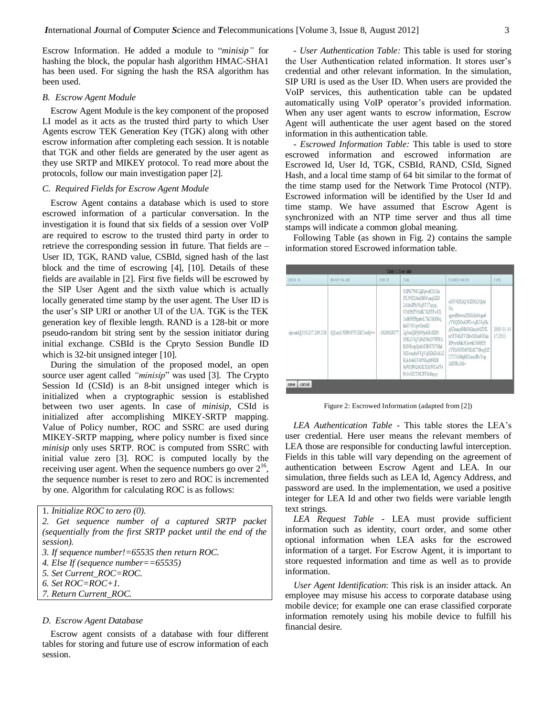Escrow Information. He added a module to "*minisip"* for hashing the block, the popular hash algorithm HMAC-SHA1 has been used. For signing the hash the RSA algorithm has been used.

## *B. Escrow Agent Module*

Escrow Agent Module is the key component of the proposed LI model as it acts as the trusted third party to which User Agents escrow TEK Generation Key (TGK) along with other escrow information after completing each session. It is notable that TGK and other fields are generated by the user agent as they use SRTP and MIKEY protocol. To read more about the protocols, follow our main investigation paper [2].

# *C. Required Fields for Escrow Agent Module*

Escrow Agent contains a database which is used to store escrowed information of a particular conversation. In the investigation it is found that six fields of a session over VoIP are required to escrow to the trusted third party in order to retrieve the corresponding session in future. That fields are – User ID, TGK, RAND value, CSBId, signed hash of the last block and the time of escrowing [4], [10]. Details of these fields are available in [2]. First five fields will be escrowed by the SIP User Agent and the sixth value which is actually locally generated time stamp by the user agent. The User ID is the user's SIP URI or another UI of the UA. TGK is the TEK generation key of flexible length. RAND is a 128-bit or more pseudo-random bit string sent by the session initiator during initial exchange. CSBId is the Cpryto Session Bundle ID which is 32-bit unsigned integer [10].

During the simulation of the proposed model, an open source user agent called *"minisip*" was used [3]. The Crypto Session Id (CSId) is an 8-bit unsigned integer which is initialized when a cryptographic session is established between two user agents. In case of *minisip,* CSId is initialized after accomplishing MIKEY-SRTP mapping. Value of Policy number, ROC and SSRC are used during MIKEY-SRTP mapping, where policy number is fixed since *minisip* only uses SRTP. ROC is computed from SSRC with initial value zero [3]. ROC is computed locally by the receiving user agent. When the sequence numbers go over  $2^{16}$ , the sequence number is reset to zero and ROC is incremented by one. Algorithm for calculating ROC is as follows:

```
1. Initialize ROC to zero (0).
```
*2. Get sequence number of a captured SRTP packet (sequentially from the first SRTP packet until the end of the session).*

- *3. If sequence number!=65535 then return ROC.*
- *4. Else If (sequence number==65535)*
- *5. Set Current\_ROC=ROC.*

*6. Set ROC=ROC+1.*

*7. Return Current\_ROC.*

#### *D. Escrow Agent Database*

Escrow agent consists of a database with four different tables for storing and future use of escrow information of each session.

- *User Authentication Table:* This table is used for storing the User Authentication related information. It stores user's credential and other relevant information. In the simulation, SIP URI is used as the User ID. When users are provided the VoIP services, this authentication table can be updated automatically using VoIP operator's provided information. When any user agent wants to escrow information, Escrow Agent will authenticate the user agent based on the stored information in this authentication table.

- *Escrowed Information Table:* This table is used to store escrowed information and escrowed information are Escrowed Id, User Id, TGK, CSBId, RAND, CSId, Signed Hash, and a local time stamp of 64 bit similar to the format of the time stamp used for the Network Time Protocol (NTP). Escrowed information will be identified by the User Id and time stamp. We have assumed that Escrow Agent is synchronized with an NTP time server and thus all time stamps will indicate a common global meaning.

Following Table (as shown in Fig. 2) contains the sample information stored Escrowed information table.

| Table 1: User Info       |                         |               |                                                                                                                                                                                                                                                                                                                |                                                                                                                                                                                                               |                        |  |  |
|--------------------------|-------------------------|---------------|----------------------------------------------------------------------------------------------------------------------------------------------------------------------------------------------------------------------------------------------------------------------------------------------------------------|---------------------------------------------------------------------------------------------------------------------------------------------------------------------------------------------------------------|------------------------|--|--|
| USER ID                  | <b>RAND VALUE</b>       | CSB ID        | TGK                                                                                                                                                                                                                                                                                                            | SIGNED HASH                                                                                                                                                                                                   | TIME                   |  |  |
| sip:saki@130.237.209.238 | QiLmvL5EPrO7F1EiU3sriQ= | $-1626928177$ | S1PhTWf12jiFpvejCLCm<br>I5L95Z1Aa3BiWcaqGiDJ<br>2zIdmIPlyNqj6T17qzpg<br>07d19fZV6dK7GZFFwUL<br>1sdG9PPpahvL7hU0hM6q<br>hi4IV93/qwOrn6D<br>2g3muQiPjS69joGJcSDN<br>85KzV5gTsPnU9kO7PFFA<br>KtN8zvpOa6cUBN787Mnl<br>MZevm6e9YgVqNDrZ4A1Z<br>KA/b4rGT40NIng9f4l1R<br>9rP81P926GKX0dWUeJ54<br>Pv3v0IUT9IUFFSr8tgov | oSN 4DI2O SXI0G2/OAt<br>Nx<br>qgwdRtswxtZMGdz44qm6<br>yYSQDOuGPUv4gK33gSlx<br>qSDmny6HhN62nxyb6ZNL<br>m5FT4tLFV1BwMAu80Om<br>BPysvfAik3OewhUM6R51<br>xYRbiWHM50EdC7dbegHZ<br>UT37oMtghKLmudRvYop<br>IAPJRvJM= | 2010-01-14<br>17:25:01 |  |  |

Figure 2: Escrowed Information (adapted from [2])

*LEA Authentication Table -* This table stores the LEA's user credential. Here user means the relevant members of LEA those are responsible for conducting lawful interception. Fields in this table will vary depending on the agreement of authentication between Escrow Agent and LEA. In our simulation, three fields such as LEA Id, Agency Address, and password are used. In the implementation, we used a positive integer for LEA Id and other two fields were variable length text strings.

*LEA Request Table -* LEA must provide sufficient information such as identity, court order, and some other optional information when LEA asks for the escrowed information of a target. For Escrow Agent, it is important to store requested information and time as well as to provide information.

*User Agent Identification*: This risk is an insider attack. An employee may misuse his access to corporate database using mobile device; for example one can erase classified corporate information remotely using his mobile device to fulfill his financial desire.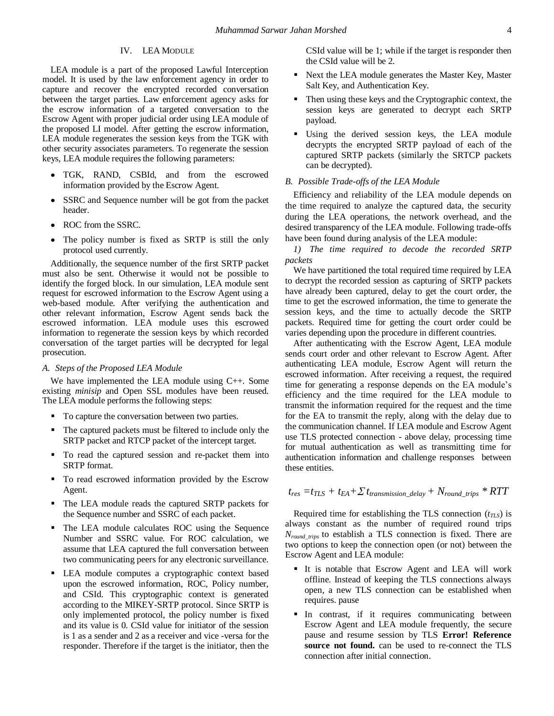# IV. LEA MODULE

LEA module is a part of the proposed Lawful Interception model. It is used by the law enforcement agency in order to capture and recover the encrypted recorded conversation between the target parties. Law enforcement agency asks for the escrow information of a targeted conversation to the Escrow Agent with proper judicial order using LEA module of the proposed LI model. After getting the escrow information, LEA module regenerates the session keys from the TGK with other security associates parameters. To regenerate the session keys, LEA module requires the following parameters:

- TGK, RAND, CSBId, and from the escrowed information provided by the Escrow Agent.
- SSRC and Sequence number will be got from the packet header.
- ROC from the SSRC.
- The policy number is fixed as SRTP is still the only protocol used currently.

Additionally, the sequence number of the first SRTP packet must also be sent. Otherwise it would not be possible to identify the forged block. In our simulation, LEA module sent request for escrowed information to the Escrow Agent using a web-based module. After verifying the authentication and other relevant information, Escrow Agent sends back the escrowed information. LEA module uses this escrowed information to regenerate the session keys by which recorded conversation of the target parties will be decrypted for legal prosecution.

## *A. Steps of the Proposed LEA Module*

We have implemented the LEA module using C++. Some existing *minisip* and Open SSL modules have been reused. The LEA module performs the following steps:

- To capture the conversation between two parties.
- The captured packets must be filtered to include only the SRTP packet and RTCP packet of the intercept target.
- $\blacksquare$  To read the captured session and re-packet them into SRTP format.
- To read escrowed information provided by the Escrow Agent.
- The LEA module reads the captured SRTP packets for the Sequence number and SSRC of each packet.
- The LEA module calculates ROC using the Sequence Number and SSRC value. For ROC calculation, we assume that LEA captured the full conversation between two communicating peers for any electronic surveillance.
- LEA module computes a cryptographic context based upon the escrowed information, ROC, Policy number, and CSId. This cryptographic context is generated according to the MIKEY-SRTP protocol. Since SRTP is only implemented protocol, the policy number is fixed and its value is 0. CSId value for initiator of the session is 1 as a sender and 2 as a receiver and vice -versa for the responder. Therefore if the target is the initiator, then the

CSId value will be 1; while if the target is responder then the CSId value will be 2.

- Next the LEA module generates the Master Key, Master Salt Key, and Authentication Key.
- Then using these keys and the Cryptographic context, the session keys are generated to decrypt each SRTP payload.
- Using the derived session keys, the LEA module decrypts the encrypted SRTP payload of each of the captured SRTP packets (similarly the SRTCP packets can be decrypted).

## *B. Possible Trade-offs of the LEA Module*

Efficiency and reliability of the LEA module depends on the time required to analyze the captured data, the security during the LEA operations, the network overhead, and the desired transparency of the LEA module. Following trade-offs have been found during analysis of the LEA module:

*1) The time required to decode the recorded SRTP packets*

We have partitioned the total required time required by LEA to decrypt the recorded session as capturing of SRTP packets have already been captured, delay to get the court order, the time to get the escrowed information, the time to generate the session keys, and the time to actually decode the SRTP packets. Required time for getting the court order could be varies depending upon the procedure in different countries.

After authenticating with the Escrow Agent, LEA module sends court order and other relevant to Escrow Agent. After authenticating LEA module, Escrow Agent will return the escrowed information. After receiving a request, the required time for generating a response depends on the EA module's efficiency and the time required for the LEA module to transmit the information required for the request and the time for the EA to transmit the reply, along with the delay due to the communication channel. If LEA module and Escrow Agent use TLS protected connection - above delay, processing time for mutual authentication as well as transmitting time for authentication information and challenge responses between these entities.

$$
t_{res} = t_{TLS} + t_{EA} + \sum t_{transmission\_delay} + N_{round\_trips} * RTT
$$

Required time for establishing the TLS connection (*tTLS*) is always constant as the number of required round trips *Nround\_trips* to establish a TLS connection is fixed. There are two options to keep the connection open (or not) between the Escrow Agent and LEA module:

- It is notable that Escrow Agent and LEA will work offline. Instead of keeping the TLS connections always open, a new TLS connection can be established when requires. pause
- In contrast, if it requires communicating between Escrow Agent and LEA module frequently, the secure pause and resume session by TLS **Error! Reference source not found.** can be used to re-connect the TLS connection after initial connection.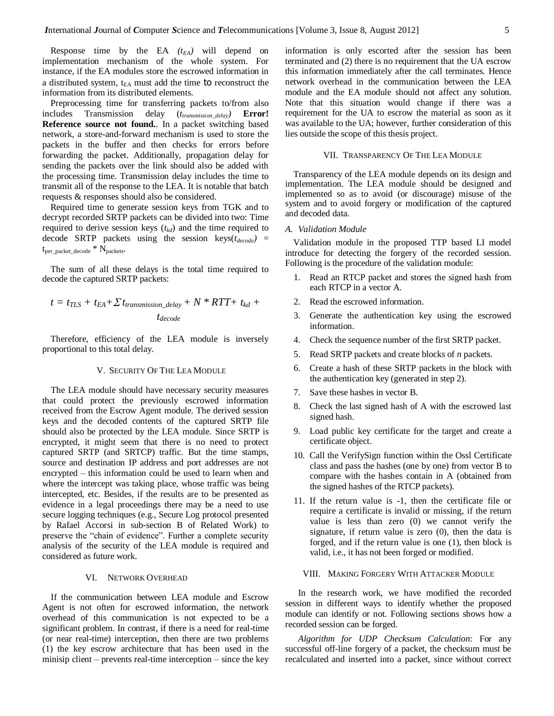Response time by the EA  $(t_{EA})$  will depend on implementation mechanism of the whole system. For instance, if the EA modules store the escrowed information in a distributed system,  $t_{EA}$  must add the time to reconstruct the information from its distributed elements.

Preprocessing time for transferring packets to/from also includes Transmission delay (*ttransmission\_delay)* **Error! Reference source not found.**. In a packet switching based network, a store-and-forward mechanism is used to store the packets in the buffer and then checks for errors before forwarding the packet. Additionally, propagation delay for sending the packets over the link should also be added with the processing time. Transmission delay includes the time to transmit all of the response to the LEA. It is notable that batch requests & responses should also be considered.

Required time to generate session keys from TGK and to decrypt recorded SRTP packets can be divided into two: Time required to derive session keys  $(t_{kd})$  and the time required to decode SRTP packets using the session keys(*tdecode)* = tper\_packet\_decode \* Npackets.

The sum of all these delays is the total time required to decode the captured SRTP packets:

$$
t = t_{TLS} + t_{EA} + \sum t_{transmission\_delay} + N * RTT + t_{kd} + t_{decode}
$$

Therefore, efficiency of the LEA module is inversely proportional to this total delay.

# V. SECURITY OF THE LEA MODULE

The LEA module should have necessary security measures that could protect the previously escrowed information received from the Escrow Agent module. The derived session keys and the decoded contents of the captured SRTP file should also be protected by the LEA module. Since SRTP is encrypted, it might seem that there is no need to protect captured SRTP (and SRTCP) traffic. But the time stamps, source and destination IP address and port addresses are not encrypted – this information could be used to learn when and where the intercept was taking place, whose traffic was being intercepted, etc. Besides, if the results are to be presented as evidence in a legal proceedings there may be a need to use secure logging techniques (e.g., Secure Log protocol presented by Rafael Accorsi in sub-section B of Related Work) to preserve the "chain of evidence". Further a complete security analysis of the security of the LEA module is required and considered as future work.

## VI. NETWORK OVERHEAD

If the communication between LEA module and Escrow Agent is not often for escrowed information, the network overhead of this communication is not expected to be a significant problem. In contrast, if there is a need for real-time (or near real-time) interception, then there are two problems (1) the key escrow architecture that has been used in the minisip client – prevents real-time interception – since the key

information is only escorted after the session has been terminated and (2) there is no requirement that the UA escrow this information immediately after the call terminates. Hence network overhead in the communication between the LEA module and the EA module should not affect any solution. Note that this situation would change if there was a requirement for the UA to escrow the material as soon as it was available to the UA; however, further consideration of this lies outside the scope of this thesis project.

#### VII. TRANSPARENCY OF THE LEA MODULE

Transparency of the LEA module depends on its design and implementation. The LEA module should be designed and implemented so as to avoid (or discourage) misuse of the system and to avoid forgery or modification of the captured and decoded data.

## *A. Validation Module*

Validation module in the proposed TTP based LI model introduce for detecting the forgery of the recorded session. Following is the procedure of the validation module:

- 1. Read an RTCP packet and stores the signed hash from each RTCP in a vector A.
- 2. Read the escrowed information.
- 3. Generate the authentication key using the escrowed information.
- 4. Check the sequence number of the first SRTP packet.
- 5. Read SRTP packets and create blocks of *n* packets.
- 6. Create a hash of these SRTP packets in the block with the authentication key (generated in step 2).
- 7. Save these hashes in vector B.
- 8. Check the last signed hash of A with the escrowed last signed hash.
- 9. Load public key certificate for the target and create a certificate object.
- 10. Call the VerifySign function within the Ossl Certificate class and pass the hashes (one by one) from vector B to compare with the hashes contain in A (obtained from the signed hashes of the RTCP packets).
- 11. If the return value is -1, then the certificate file or require a certificate is invalid or missing, if the return value is less than zero (0) we cannot verify the signature, if return value is zero  $(0)$ , then the data is forged, and if the return value is one (1), then block is valid, i.e., it has not been forged or modified.

## VIII. MAKING FORGERY WITH ATTACKER MODULE

In the research work, we have modified the recorded session in different ways to identify whether the proposed module can identify or not. Following sections shows how a recorded session can be forged.

*Algorithm for UDP Checksum Calculation*: For any successful off-line forgery of a packet, the checksum must be recalculated and inserted into a packet, since without correct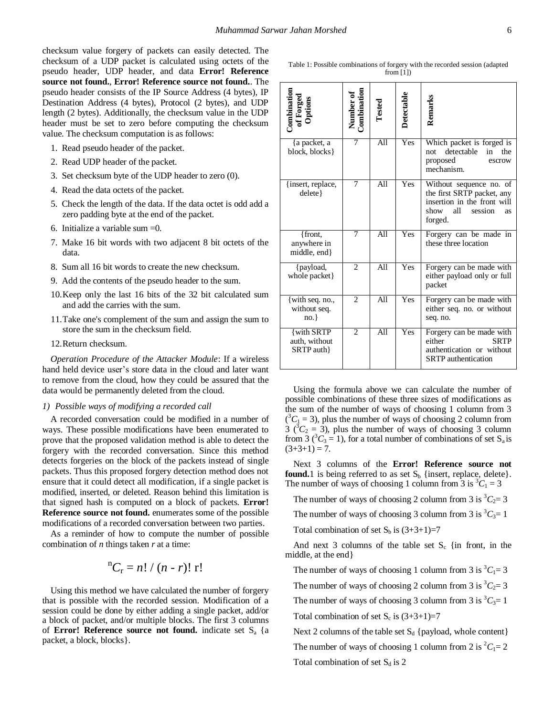checksum value forgery of packets can easily detected. The checksum of a UDP packet is calculated using octets of the pseudo header, UDP header, and data **Error! Reference source not found.**, **Error! Reference source not found.**. The pseudo header consists of the IP Source Address (4 bytes), IP Destination Address (4 bytes), Protocol (2 bytes), and UDP length (2 bytes). Additionally, the checksum value in the UDP header must be set to zero before computing the checksum value. The checksum computation is as follows:

- 1. Read pseudo header of the packet.
- 2. Read UDP header of the packet.
- 3. Set checksum byte of the UDP header to zero (0).
- 4. Read the data octets of the packet.
- 5. Check the length of the data. If the data octet is odd add a zero padding byte at the end of the packet.
- 6. Initialize a variable sum =0.
- 7. Make 16 bit words with two adjacent 8 bit octets of the data.
- 8. Sum all 16 bit words to create the new checksum.
- 9. Add the contents of the pseudo header to the sum.
- 10.Keep only the last 16 bits of the 32 bit calculated sum and add the carries with the sum.
- 11.Take one's complement of the sum and assign the sum to store the sum in the checksum field.
- 12.Return checksum.

*Operation Procedure of the Attacker Module*: If a wireless hand held device user's store data in the cloud and later want to remove from the cloud, how they could be assured that the data would be permanently deleted from the cloud.

#### *1) Possible ways of modifying a recorded call*

A recorded conversation could be modified in a number of ways. These possible modifications have been enumerated to prove that the proposed validation method is able to detect the forgery with the recorded conversation. Since this method detects forgeries on the block of the packets instead of single packets. Thus this proposed forgery detection method does not ensure that it could detect all modification, if a single packet is modified, inserted, or deleted. Reason behind this limitation is that signed hash is computed on a block of packets. **Error! Reference source not found.** enumerates some of the possible modifications of a recorded conversation between two parties.

As a reminder of how to compute the number of possible combination of *n* things taken *r* at a time:

$$
{}^{n}C_{r} = n! / (n-r)! \; r!
$$

Using this method we have calculated the number of forgery that is possible with the recorded session. Modification of a session could be done by either adding a single packet, add/or a block of packet, and/or multiple blocks. The first 3 columns of **Error! Reference source not found.** indicate set S<sub>a</sub> {a packet, a block, blocks}.

| Table 1: Possible combinations of forgery with the recorded session (adapted |
|------------------------------------------------------------------------------|
| from $[1]$                                                                   |

| Combination<br>of Forged<br>Options                              | Number of<br>Combination | Tested           | Detectable | Remarks                                                                                                                         |
|------------------------------------------------------------------|--------------------------|------------------|------------|---------------------------------------------------------------------------------------------------------------------------------|
| {a packet, a<br>block, blocks}                                   | 7                        | All              | Yes        | Which packet is forged is<br>detectable<br>in<br>not<br>the<br>proposed<br>escrow<br>mechanism.                                 |
| {insert, replace,<br>$delete\}$                                  | 7                        | Al1              | <b>Yes</b> | Without sequence no. of<br>the first SRTP packet, any<br>insertion in the front will<br>all<br>show<br>session<br>as<br>forged. |
| {front,<br>anywhere in<br>middle, end}                           | 7                        | A11              | <b>Yes</b> | Forgery can be made in<br>these three location                                                                                  |
| {payload,<br>whole packet}                                       | $\mathfrak{D}$           | $\overline{All}$ | <b>Yes</b> | Forgery can be made with<br>either payload only or full<br>packet                                                               |
| {with seq. no.,<br>without seq.<br>$no.$ }                       | $\overline{c}$           | A11              | Yes        | Forgery can be made with<br>either seq. no. or without<br>seq. no.                                                              |
| $\overline{\{\text{with SRTP}\}}$<br>auth, without<br>SRTP auth} | $\overline{c}$           | A11              | Yes        | Forgery can be made with<br>either<br><b>SRTP</b><br>authentication or without<br><b>SRTP</b> authentication                    |

Using the formula above we can calculate the number of possible combinations of these three sizes of modifications as the sum of the number of ways of choosing 1 column from 3  $({}^{3}C_{1} = 3)$ , plus the number of ways of choosing 2 column from  $3(^{3}C_{2} = 3)$ , plus the number of ways of choosing 3 column from 3 ( ${}^{3}C_{3} = 1$ ), for a total number of combinations of set S<sub>a</sub> is  $(3+3+1) = 7.$ 

Next 3 columns of the **Error! Reference source not found.** 1 is being referred to as set  $S_b$  {insert, replace, delete}. The number of ways of choosing 1 column from 3 is  ${}^3C_1 = 3$ 

The number of ways of choosing 2 column from 3 is  ${}^3C_2 = 3$ 

The number of ways of choosing 3 column from 3 is  ${}^3C_3=1$ 

Total combination of set  $S_b$  is  $(3+3+1)=7$ 

And next 3 columns of the table set  $S_c$  {in front, in the middle, at the end}

The number of ways of choosing 1 column from 3 is  ${}^{3}C_{1}=3$ 

The number of ways of choosing 2 column from 3 is  ${}^3C_2 = 3$ 

The number of ways of choosing 3 column from 3 is  ${}^{3}C_{3}=1$ 

Total combination of set  $S_c$  is  $(3+3+1)=7$ 

Next 2 columns of the table set  $S_d$  {payload, whole content}

The number of ways of choosing 1 column from 2 is  ${}^2C_1=2$ 

Total combination of set  $S_d$  is 2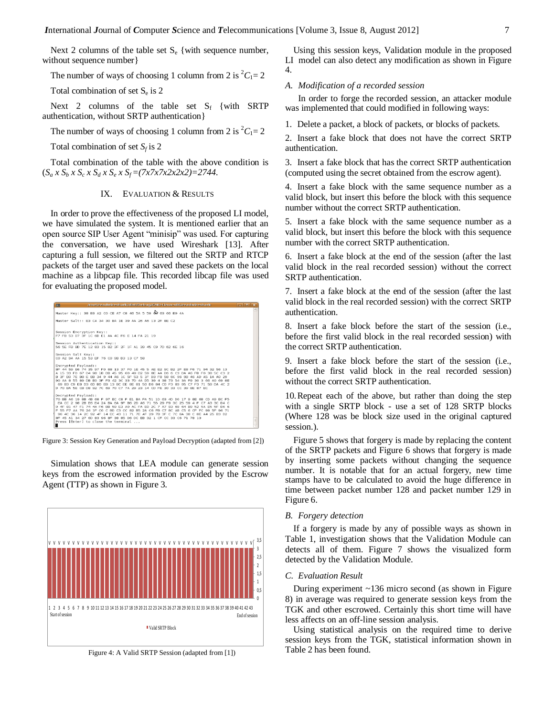Next 2 columns of the table set  $S_e$  {with sequence number, without sequence number}

The number of ways of choosing 1 column from 2 is  ${}^2C_1=2$ 

Total combination of set  $S_e$  is 2

Next 2 columns of the table set  $S_f$  {with SRTP authentication, without SRTP authentication}

The number of ways of choosing 1 column from 2 is  ${}^{2}C_{1}=2$ 

Total combination of set  $S_f$  is 2

Total combination of the table with the above condition is  $(S_a \times S_b \times S_c \times S_d \times S_e \times S_f = (7 \times 7 \times 7 \times 2 \times 2 \times 2) = 2744.$ 

# IX. EVALUATION & RESULTS

In order to prove the effectiveness of the proposed LI model, we have simulated the system. It is mentioned earlier that an open source SIP User Agent "minisip" was used. For capturing the conversation, we have used Wireshark [13]. After capturing a full session, we filtered out the SRTP and RTCP packets of the target user and saved these packets on the local machine as a libpcap file. This recorded libcap file was used for evaluating the proposed model.



Figure 3: Session Key Generation and Payload Decryption (adapted from [2])

Simulation shows that LEA module can generate session keys from the escrowed information provided by the Escrow Agent (TTP) as shown in Figure 3.



Figure 4: A Valid SRTP Session (adapted from [1])

Using this session keys, Validation module in the proposed LI model can also detect any modification as shown in Figure 4.

# *A. Modification of a recorded session*

In order to forge the recorded session, an attacker module was implemented that could modified in following ways:

1. Delete a packet, a block of packets, or blocks of packets.

2. Insert a fake block that does not have the correct SRTP authentication.

3. Insert a fake block that has the correct SRTP authentication (computed using the secret obtained from the escrow agent).

4. Insert a fake block with the same sequence number as a valid block, but insert this before the block with this sequence number without the correct SRTP authentication.

5. Insert a fake block with the same sequence number as a valid block, but insert this before the block with this sequence number with the correct SRTP authentication.

6. Insert a fake block at the end of the session (after the last valid block in the real recorded session) without the correct SRTP authentication.

7. Insert a fake block at the end of the session (after the last valid block in the real recorded session) with the correct SRTP authentication.

8. Insert a fake block before the start of the session (i.e., before the first valid block in the real recorded session) with the correct SRTP authentication.

9. Insert a fake block before the start of the session (i.e., before the first valid block in the real recorded session) without the correct SRTP authentication.

10.Repeat each of the above, but rather than doing the step with a single SRTP block - use a set of 128 SRTP blocks (Where 128 was be block size used in the original captured session.).

Figure 5 shows that forgery is made by replacing the content of the SRTP packets and Figure 6 shows that forgery is made by inserting some packets without changing the sequence number. It is notable that for an actual forgery, new time stamps have to be calculated to avoid the huge difference in time between packet number 128 and packet number 129 in Figure 6.

#### *B. Forgery detection*

If a forgery is made by any of possible ways as shown in Table 1, investigation shows that the Validation Module can detects all of them. Figure 7 shows the visualized form detected by the Validation Module.

## *C. Evaluation Result*

During experiment ~136 micro second (as shown in Figure 8) in average was required to generate session keys from the TGK and other escrowed. Certainly this short time will have less affects on an off-line session analysis.

Using statistical analysis on the required time to derive session keys from the TGK, statistical information shown in Table 2 has been found.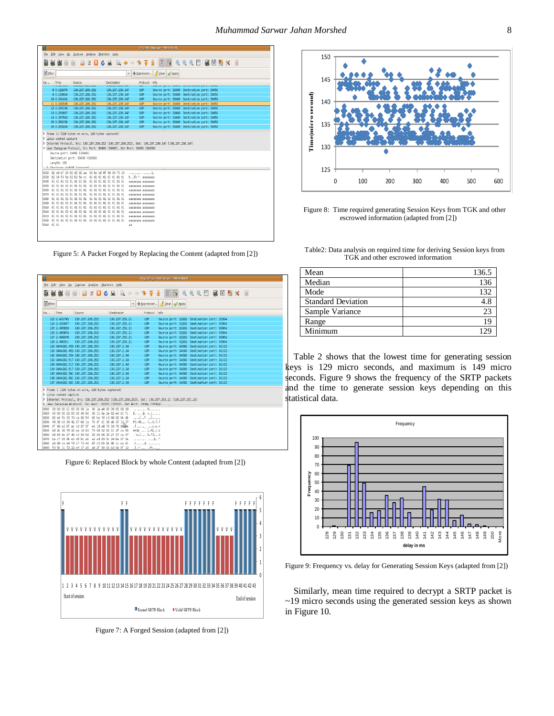| sitpypt.iippcap - wiresnark                                                                                                                                                                                                                                         |  |  |  |  |  |  |
|---------------------------------------------------------------------------------------------------------------------------------------------------------------------------------------------------------------------------------------------------------------------|--|--|--|--|--|--|
| File Edit View Go Capture Analyze Statistics Help                                                                                                                                                                                                                   |  |  |  |  |  |  |
| $\blacksquare$ EIG $\Theta$ $\Theta$ $\blacksquare$ MEIG $\blacksquare$ MEIG $\blacksquare$<br><b>MMMMBBBCBB00007</b>                                                                                                                                               |  |  |  |  |  |  |
| Expression Glear Apply<br>Fiter:<br>$\vee$                                                                                                                                                                                                                          |  |  |  |  |  |  |
| Time<br><b>Destination</b><br>Protocol<br>Info<br>Source<br>No. .<br><b>AUM FAUT FAND FAUE</b><br>aborato por ce aumos, pourcementos por ce aumos<br><b>Manufacturers</b><br><b>AWVERTHEMS</b> ETT                                                                  |  |  |  |  |  |  |
| 8 0.128375<br>130.237.209.252<br>130, 237, 239, 147<br>LEP.<br>Source port: 33490 Destination port: 33450                                                                                                                                                           |  |  |  |  |  |  |
| 9 0.129634<br>130.237.209.252<br>130.237.239.147<br><b>LDP</b><br>Source port: 33490 Destination port: 33450                                                                                                                                                        |  |  |  |  |  |  |
| 130.237.209.252<br>10 0.191412<br>130, 237, 239, 147<br><b>UDP</b><br>Source port: 33490 Destination port: 33450                                                                                                                                                    |  |  |  |  |  |  |
| 11 0.192538<br>130.237.209.252<br>130.237.239.147<br><b>LDP</b><br>Source port: 33490 Destination port: 33450                                                                                                                                                       |  |  |  |  |  |  |
| 12 0.193199<br>Source port: 33490 Destination port: 33450<br>130.237.209.252<br>130.237.239.147<br>UDP.                                                                                                                                                             |  |  |  |  |  |  |
| 13 0.255837<br>130.237.209.252<br><b>LDP</b><br>Source port: 33490 Destination port: 33450<br>130, 237, 239, 147                                                                                                                                                    |  |  |  |  |  |  |
| 14 0.257593<br>130.237.209.252<br>130.237.239.147<br>UDP.<br>Source port: 33490 Destination port: 33450                                                                                                                                                             |  |  |  |  |  |  |
| 15 0.258159<br>130.237.209.252<br>130.237.239.147<br><b>LDP</b><br>Source port: 33490 Destination port: 33450<br>16 0.259244<br>130, 237, 209, 252<br>Source port: 33490 Destination port: 33450<br>130.237.239.147<br>UDP.                                         |  |  |  |  |  |  |
|                                                                                                                                                                                                                                                                     |  |  |  |  |  |  |
| D Linux cooked capture<br>130.237.239.147 (130.237.209.252 (130.237.209.252), Dst: 130.237.239.147 (130.237.239.147)<br>V User Datagram Protocol, Src Port; 33490 (33490), Dst Port; 33450 (33450)<br>Source port: 33490 (33490)<br>Destination port: 33450 (33450) |  |  |  |  |  |  |
| Length: 190<br>B. Charleson- Ovaldof (correct)                                                                                                                                                                                                                      |  |  |  |  |  |  |
| 0020 82 ed ef 93 82 d2 82 aa 00 be dd 8f 80 00 71 c5<br>. 0.                                                                                                                                                                                                        |  |  |  |  |  |  |
| 0030 62 04 f9 5a 52 b3 5e cc  61 61 61 61 61 61 61 61 6<br>b., 7R.^. aaaaaaaa                                                                                                                                                                                       |  |  |  |  |  |  |
| aaaaaaaa aaaaaaaa                                                                                                                                                                                                                                                   |  |  |  |  |  |  |
|                                                                                                                                                                                                                                                                     |  |  |  |  |  |  |
| аааааааа аааааааа                                                                                                                                                                                                                                                   |  |  |  |  |  |  |
| aaaaaaaa aaaaaaaa                                                                                                                                                                                                                                                   |  |  |  |  |  |  |
| aaaaaaaa aaaaaaaa                                                                                                                                                                                                                                                   |  |  |  |  |  |  |
| aaaaaaaa aaaaaaaa                                                                                                                                                                                                                                                   |  |  |  |  |  |  |
| aaaaaaaa aaaaaaaa                                                                                                                                                                                                                                                   |  |  |  |  |  |  |
| aaaaaaaa aaaaaaaa                                                                                                                                                                                                                                                   |  |  |  |  |  |  |
| aaaaaaaa aaaaaaaa                                                                                                                                                                                                                                                   |  |  |  |  |  |  |
| 00e0 61 61<br>A                                                                                                                                                                                                                                                     |  |  |  |  |  |  |
|                                                                                                                                                                                                                                                                     |  |  |  |  |  |  |

Figure 5: A Packet Forged by Replacing the Content (adapted from [2])

| 岡                                                                    |                                 |                 |                 |                                                                                                                |                                                                                                   | srtp_forged4.libpcap - Wireshark           |  |  |  |
|----------------------------------------------------------------------|---------------------------------|-----------------|-----------------|----------------------------------------------------------------------------------------------------------------|---------------------------------------------------------------------------------------------------|--------------------------------------------|--|--|--|
| File                                                                 |                                 |                 |                 | Edit View Go Capture Analyze Statistics Help                                                                   |                                                                                                   |                                            |  |  |  |
|                                                                      |                                 |                 |                 |                                                                                                                |                                                                                                   |                                            |  |  |  |
| Filter:                                                              |                                 |                 |                 |                                                                                                                |                                                                                                   | v + Expression Sclear Apply                |  |  |  |
| No. .                                                                | Time                            | Source          |                 | Destination                                                                                                    | Protocol Info                                                                                     |                                            |  |  |  |
|                                                                      | 123 2.431745                    |                 | 130.237.209.252 | 130.237.251.21                                                                                                 | UDP                                                                                               | Source port: 32202 Destination port: 33364 |  |  |  |
|                                                                      | 124 2.431937                    |                 | 130.237.209.252 | 130.237.251.21                                                                                                 | UDP                                                                                               | Source port: 32202 Destination port: 33364 |  |  |  |
|                                                                      | 125 2.495650                    | 130.237.209.252 |                 | 130.237.251.21                                                                                                 | <b>UDP</b>                                                                                        | Source port: 32202 Destination port: 33364 |  |  |  |
|                                                                      | 126 2.495874                    | 130.237.209.252 |                 | 130.237.251.21                                                                                                 | <b>UDP</b>                                                                                        | Source port: 32202 Destination port: 33364 |  |  |  |
|                                                                      | 127 2, 496076                   | 130.237.209.252 |                 | 130.237.251.21                                                                                                 | <b>UDP</b>                                                                                        | Source port: 32202 Destination port: 33364 |  |  |  |
|                                                                      | 128 2.496311                    | 130.237.209.252 |                 | 130.237.251.21                                                                                                 | <b>UDP</b>                                                                                        | Source port: 32202 Destination port: 33364 |  |  |  |
|                                                                      | 129 3464202.453 130.237.209.252 |                 |                 | 130.237.2.34                                                                                                   | <b>UDP</b>                                                                                        | Source port: 34090 Destination port: 31102 |  |  |  |
|                                                                      | 130 3464202.453 130.237.209.252 |                 |                 | 130, 237, 2, 34                                                                                                | <b>UDP</b>                                                                                        | Source port: 34090 Destination port: 31102 |  |  |  |
|                                                                      | 131 3464202.454 130.237.209.252 |                 |                 | 130.237.2.34                                                                                                   | <b>UDP</b>                                                                                        | Source port: 34090 Destination port: 31102 |  |  |  |
|                                                                      | 132 3464202.517 130.237.209.252 |                 |                 | 130.237.2.34                                                                                                   | <b>UDP</b>                                                                                        | Source port: 34090 Destination port: 31102 |  |  |  |
|                                                                      | 133 3464202.517 130.237.209.252 |                 |                 | 130, 237, 2, 34                                                                                                | <b>UDP</b>                                                                                        | Source port: 34090 Destination port: 31102 |  |  |  |
|                                                                      | 134 3464202.517 130.237.209.252 |                 |                 | 130.237.2.34                                                                                                   | UDP                                                                                               | Source port: 34090 Destination port: 31102 |  |  |  |
|                                                                      | 135 3464202.581 130.237.209.252 |                 |                 | 130.237.2.34                                                                                                   | UDP                                                                                               | Source port: 34090 Destination port: 31102 |  |  |  |
|                                                                      | 136 3464202.581 130.237.209.252 |                 |                 | 130, 237, 2, 34                                                                                                | <b>UDP</b>                                                                                        | Source port: 34090 Destination port: 31102 |  |  |  |
|                                                                      | 137 3464202.581 130.237.209.252 |                 |                 | 130.237.2.34                                                                                                   | <b>UDP</b>                                                                                        | Source port: 34090 Destination port: 31102 |  |  |  |
|                                                                      |                                 |                 |                 | P Frame 1 (226 bytes on wire, 226 bytes captured)                                                              |                                                                                                   |                                            |  |  |  |
|                                                                      | D Linux cooked capture          |                 |                 |                                                                                                                |                                                                                                   |                                            |  |  |  |
|                                                                      |                                 |                 |                 |                                                                                                                | D Internet Protocol, Src: 130.237.209.252 (130.237.209.252), Dst: 130.237.251.21 (130.237.251.21) |                                            |  |  |  |
|                                                                      |                                 |                 |                 |                                                                                                                | D Iker Datannam Protocol Scr Port: 32202 (32202) Dat Port: 33364 (33364)                          |                                            |  |  |  |
|                                                                      |                                 |                 |                 | 0000 00 00 00 01 00 06 00 1a 30 1a e8 00 00 00 08 00                                                           | . 0.                                                                                              |                                            |  |  |  |
|                                                                      |                                 |                 |                 | 0010 45 00 00 d2 00 00 40 00 3d 11 6a 2e 82 ed d1 fc                                                           | $E_1, \ldots, R_n = 1, \ldots$                                                                    |                                            |  |  |  |
|                                                                      |                                 |                 |                 | 0020 82 ed fb 15 7d ca 82 54 00 be 7d c3 80 00 9b db                                                           | $,$ }T }                                                                                          |                                            |  |  |  |
| 0030 46 30 c6 34 42 d7 b6 1a 7b df d1 39 ab 37 1d 37<br>F0.48 {9.7.7 |                                 |                 |                 |                                                                                                                |                                                                                                   |                                            |  |  |  |
|                                                                      |                                 |                 |                 | 0040 Of 66 a2 8f ac cd 87 5f ee 1d a8 76 16 76 9blee                                                           | <>                                                                                                |                                            |  |  |  |
|                                                                      |                                 |                 |                 | 0050 6d 2b 39 70 20 ea 16 d0 7d d8 52 5b 01 2f ca 65                                                           | m+9p  }.R[./.e                                                                                    |                                            |  |  |  |
|                                                                      |                                 |                 |                 | 0060 06 60 6e d7 49 c0 93 0d 25 d6 66 33 2f 07 ca 47                                                           | $. n.I$ %.f3/ $.6$                                                                                |                                            |  |  |  |
|                                                                      |                                 |                 |                 | 0070 ba c7 d8 9b e1 d8 bc ab a2 ed 83 0c 24 be 07 5e                                                           | . \$. . ^                                                                                         |                                            |  |  |  |
|                                                                      |                                 |                 |                 | 0080 a6 68 ce e6 f8 c7 f3 40 87 c0 b5 81 8b 1c ea 81<br>hono in cl. 1- 70 00 -4 16 -5 -0 06 50 -11 -0 0- 56 10 | $h$ $0$<br>full on                                                                                |                                            |  |  |  |

Figure 6: Replaced Block by whole Content (adapted from [2])



Figure 7: A Forged Session (adapted from [2])



Figure 8: Time required generating Session Keys from TGK and other escrowed information (adapted from [2])

Table2: Data analysis on required time for deriving Session keys from TGK and other escrowed information

| Mean                      | 136.5 |
|---------------------------|-------|
| Median                    | 136   |
| Mode                      | 132   |
| <b>Standard Deviation</b> | 4.8   |
| Sample Variance           | 23    |
| Range                     |       |
| Minimum                   |       |

Table 2 shows that the lowest time for generating session keys is 129 micro seconds, and maximum is 149 micro econds. Figure 9 shows the frequency of the SRTP packets and the time to generate session keys depending on this statistical data.



Figure 9: Frequency vs. delay for Generating Session Keys (adapted from [2])

Similarly, mean time required to decrypt a SRTP packet is ~19 micro seconds using the generated session keys as shown in Figure 10.